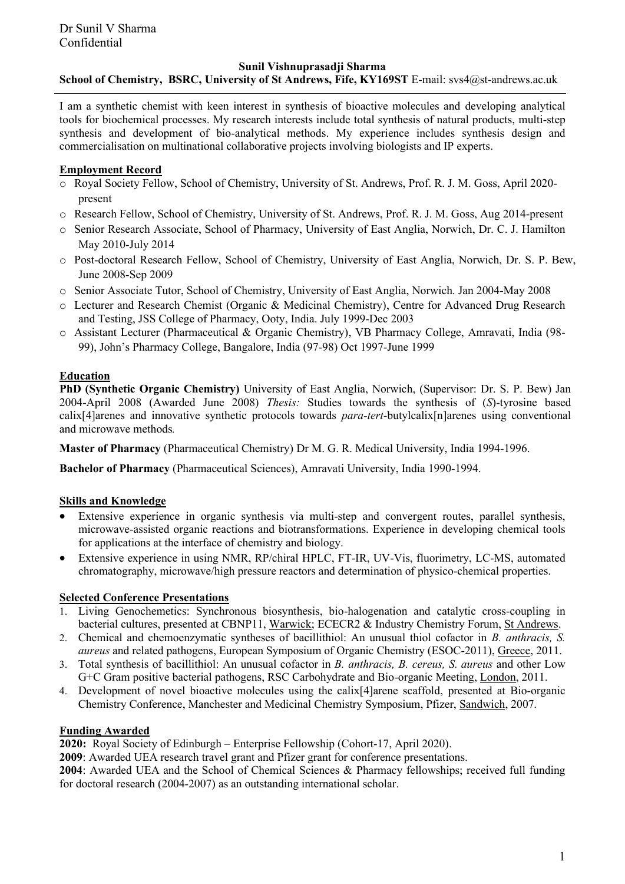#### **Sunil Vishnuprasadji Sharma**

# **School of Chemistry, BSRC, University of St Andrews, Fife, KY169ST** E-mail: svs4@st-andrews.ac.uk

I am a synthetic chemist with keen interest in synthesis of bioactive molecules and developing analytical tools for biochemical processes. My research interests include total synthesis of natural products, multi-step synthesis and development of bio-analytical methods. My experience includes synthesis design and commercialisation on multinational collaborative projects involving biologists and IP experts.

## **Employment Record**

- o Royal Society Fellow, School of Chemistry, University of St. Andrews, Prof. R. J. M. Goss, April 2020 present
- o Research Fellow, School of Chemistry, University of St. Andrews, Prof. R. J. M. Goss, Aug 2014-present
- o Senior Research Associate, School of Pharmacy, University of East Anglia, Norwich, Dr. C. J. Hamilton May 2010-July 2014
- o Post-doctoral Research Fellow, School of Chemistry, University of East Anglia, Norwich, Dr. S. P. Bew, June 2008-Sep 2009
- o Senior Associate Tutor, School of Chemistry, University of East Anglia, Norwich. Jan 2004-May 2008
- o Lecturer and Research Chemist (Organic & Medicinal Chemistry), Centre for Advanced Drug Research and Testing, JSS College of Pharmacy, Ooty, India. July 1999-Dec 2003
- o Assistant Lecturer (Pharmaceutical & Organic Chemistry), VB Pharmacy College, Amravati, India (98- 99), John's Pharmacy College, Bangalore, India (97-98) Oct 1997-June 1999

## **Education**

**PhD (Synthetic Organic Chemistry)** University of East Anglia, Norwich, (Supervisor: Dr. S. P. Bew) Jan 2004-April 2008 (Awarded June 2008) *Thesis:* Studies towards the synthesis of (*S*)-tyrosine based calix[4]arenes and innovative synthetic protocols towards *para-tert*-butylcalix[n]arenes using conventional and microwave methods*.*

**Master of Pharmacy** (Pharmaceutical Chemistry) Dr M. G. R. Medical University, India 1994-1996.

**Bachelor of Pharmacy** (Pharmaceutical Sciences), Amravati University, India 1990-1994.

# **Skills and Knowledge**

- Extensive experience in organic synthesis via multi-step and convergent routes, parallel synthesis, microwave-assisted organic reactions and biotransformations. Experience in developing chemical tools for applications at the interface of chemistry and biology.
- x Extensive experience in using NMR, RP/chiral HPLC, FT-IR, UV-Vis, fluorimetry, LC-MS, automated chromatography, microwave/high pressure reactors and determination of physico-chemical properties.

## **Selected Conference Presentations**

- Living Genochemetics: Synchronous biosynthesis, bio-halogenation and catalytic cross-coupling in bacterial cultures, presented at CBNP11, Warwick; ECECR2 & Industry Chemistry Forum, St Andrews.
- 2. Chemical and chemoenzymatic syntheses of bacillithiol: An unusual thiol cofactor in *B. anthracis, S. aureus* and related pathogens, European Symposium of Organic Chemistry (ESOC-2011), Greece, 2011.
- 3. Total synthesis of bacillithiol: An unusual cofactor in *B. anthracis, B. cereus, S. aureus* and other Low G+C Gram positive bacterial pathogens, RSC Carbohydrate and Bio-organic Meeting, London, 2011.
- 4. Development of novel bioactive molecules using the calix[4]arene scaffold, presented at Bio-organic Chemistry Conference, Manchester and Medicinal Chemistry Symposium, Pfizer, Sandwich, 2007.

### **Funding Awarded**

**2020:** Royal Society of Edinburgh – Enterprise Fellowship (Cohort-17, April 2020).

**2009**: Awarded UEA research travel grant and Pfizer grant for conference presentations.

**2004**: Awarded UEA and the School of Chemical Sciences & Pharmacy fellowships; received full funding for doctoral research (2004-2007) as an outstanding international scholar.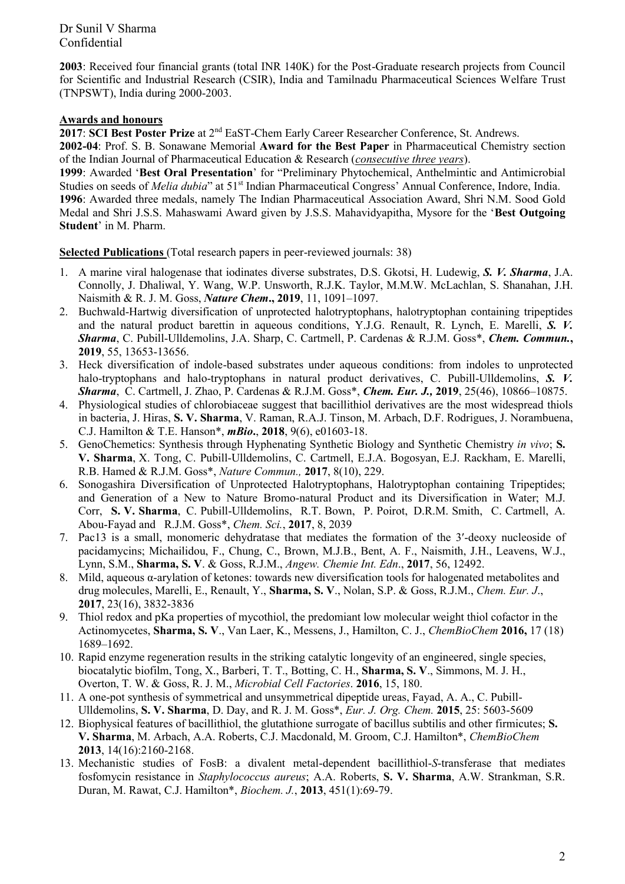Dr Sunil V Sharma Confidential

**2003**: Received four financial grants (total INR 140K) for the Post-Graduate research projects from Council for Scientific and Industrial Research (CSIR), India and Tamilnadu Pharmaceutical Sciences Welfare Trust (TNPSWT), India during 2000-2003.

# **Awards and honours**

**2017**: **SCI Best Poster Prize** at 2nd EaST-Chem Early Career Researcher Conference, St. Andrews.

**2002-04**: Prof. S. B. Sonawane Memorial **Award for the Best Paper** in Pharmaceutical Chemistry section of the Indian Journal of Pharmaceutical Education & Research (*consecutive three years*).

1999: Awarded 'Best Oral Presentation' for "Preliminary Phytochemical, Anthelmintic and Antimicrobial Studies on seeds of *Melia dubia*" at 51<sup>st</sup> Indian Pharmaceutical Congress' Annual Conference, Indore, India. **1996**: Awarded three medals, namely The Indian Pharmaceutical Association Award, Shri N.M. Sood Gold Medal and Shri J.S.S. Mahaswami Award given by J.S.S. Mahavidyapitha, Mysore for the 'Best Outgoing **Student'** in M. Pharm.

**Selected Publications** (Total research papers in peer-reviewed journals: 38)

- 1. A marine viral halogenase that iodinates diverse substrates, D.S. Gkotsi, H. Ludewig, *S. V. Sharma*, J.A. Connolly, J. Dhaliwal, Y. Wang, W.P. Unsworth, R.J.K. Taylor, M.M.W. McLachlan, S. Shanahan, J.H. Naismith & R. J. M. Goss, *Nature Chem.*, 2019, 11, 1091-1097.
- 2. Buchwald-Hartwig diversification of unprotected halotryptophans, halotryptophan containing tripeptides and the natural product barettin in aqueous conditions, Y.J.G. Renault, R. Lynch, E. Marelli, *S. V. Sharma*, C. Pubill-Ulldemolins, J.A. Sharp, C. Cartmell, P. Cardenas & R.J.M. Goss\*, *Chem. Commun.***, 2019**, 55, 13653-13656.
- 3. Heck diversification of indole-based substrates under aqueous conditions: from indoles to unprotected halo-tryptophans and halo-tryptophans in natural product derivatives, C. Pubill-Ulldemolins, *S. V. Sharma*, C. Cartmell, J. Zhao, P. Cardenas & R.J.M. Goss\*, *Chem. Eur. J.,* **2019**, 25(46), 10866±10875.
- 4. Physiological studies of chlorobiaceae suggest that bacillithiol derivatives are the most widespread thiols in bacteria, J. Hiras, **S. V. Sharma**, V. Raman, R.A.J. Tinson, M. Arbach, D.F. Rodrigues, J. Norambuena, C.J. Hamilton & T.E. Hanson\*, *mBio***.**, **2018**, 9(6), e01603-18.
- 5. GenoChemetics: Synthesis through Hyphenating Synthetic Biology and Synthetic Chemistry *in vivo*; **S. V. Sharma**, X. Tong, C. Pubill-Ulldemolins, C. Cartmell, E.J.A. Bogosyan, E.J. Rackham, E. Marelli, R.B. Hamed & R.J.M. Goss\*, *Nature Commun.,* **2017**, 8(10), 229.
- 6. Sonogashira Diversification of Unprotected Halotryptophans, Halotryptophan containing Tripeptides; and Generation of a New to Nature Bromo-natural Product and its Diversification in Water; [M.J.](http://pubs.rsc.org/en/results?searchtext=Author:Michael%20J%20Corr)  [Corr,](http://pubs.rsc.org/en/results?searchtext=Author:Michael%20J%20Corr) **S. [V. Sharma](http://pubs.rsc.org/en/results?searchtext=Author:Sunil%20V%20Sharma)**, C. [Pubill-Ulldemolins,](http://pubs.rsc.org/en/results?searchtext=Author:Cristina%20Pubill-Ulldemolins) [R.T. Bown,](http://pubs.rsc.org/en/results?searchtext=Author:Rhea%20T%20Bown) P. [Poirot,](http://pubs.rsc.org/en/results?searchtext=Author:PIerre%20Poirot) [D.R.M. Smith,](http://pubs.rsc.org/en/results?searchtext=Author:Duncan%20Robert%20Miller%20Smith) C. [Cartmell,](http://pubs.rsc.org/en/results?searchtext=Author:Christopher%20Cartmell) [A.](http://pubs.rsc.org/en/results?searchtext=Author:Antoine%20Abou-Fayad) [Abou-Fayad](http://pubs.rsc.org/en/results?searchtext=Author:Antoine%20Abou-Fayad) and [R.J.M. Goss\\*](http://pubs.rsc.org/en/results?searchtext=Author:Rebecca%20Jane%20Miriam%20Goss), *Chem. Sci.*, **2017**, 8, 2039
- 7. Pac13 is a small, monomeric dehydratase that mediates the formation of the 3'-deoxy nucleoside of pacidamycins; Michailidou, F., Chung, C., Brown, M.J.B., Bent, A. F., Naismith, J.H., Leavens, W.J., Lynn, S.M., **Sharma, S. V**. & Goss, R.J.M., *Angew. Chemie Int. Edn*., **2017**, 56, 12492.
- 8. Mild, aqueous  $\alpha$ -arylation of ketones: towards new diversification tools for halogenated metabolites and drug molecules, Marelli, E., Renault, Y., **Sharma, S. V**., Nolan, S.P. & Goss, R.J.M., *Chem. Eur. J*., **2017**, 23(16), 3832-3836
- 9. Thiol redox and pKa properties of mycothiol, the predomiant low molecular weight thiol cofactor in the Actinomycetes, **Sharma, S. V**., Van Laer, K., Messens, J., Hamilton, C. J., *ChemBioChem* **2016,** 17 (18) 1689±1692.
- 10. Rapid enzyme regeneration results in the striking catalytic longevity of an engineered, single species, biocatalytic biofilm, Tong, X., Barberi, T. T., Botting, C. H., **Sharma, S. V**., Simmons, M. J. H., Overton, T. W. & Goss, R. J. M., *Microbial Cell Factories*. **2016**, 15, 180.
- 11. A one-pot synthesis of symmetrical and unsymmetrical dipeptide ureas, Fayad, A. A., C. Pubill-Ulldemolins, **S. V. Sharma**, D. Day, and R. J. M. Goss\*, *Eur. J. Org. Chem.* **2015**, 25: 5603-5609
- 12. Biophysical features of bacillithiol, the glutathione surrogate of bacillus subtilis and other firmicutes; **S. V. Sharma**, M. Arbach, A.A. Roberts, C.J. Macdonald, M. Groom, C.J. Hamilton\*, *ChemBioChem* **2013**, 14(16):2160-2168.
- 13. Mechanistic studies of FosB: a divalent metal-dependent bacillithiol-*S*-transferase that mediates fosfomycin resistance in *Staphylococcus aureus*; A.A. Roberts, **S. V. Sharma**, A.W. Strankman, S.R. Duran, M. Rawat, C.J. Hamilton\*, *Biochem. J.*, **2013**, 451(1):69-79.